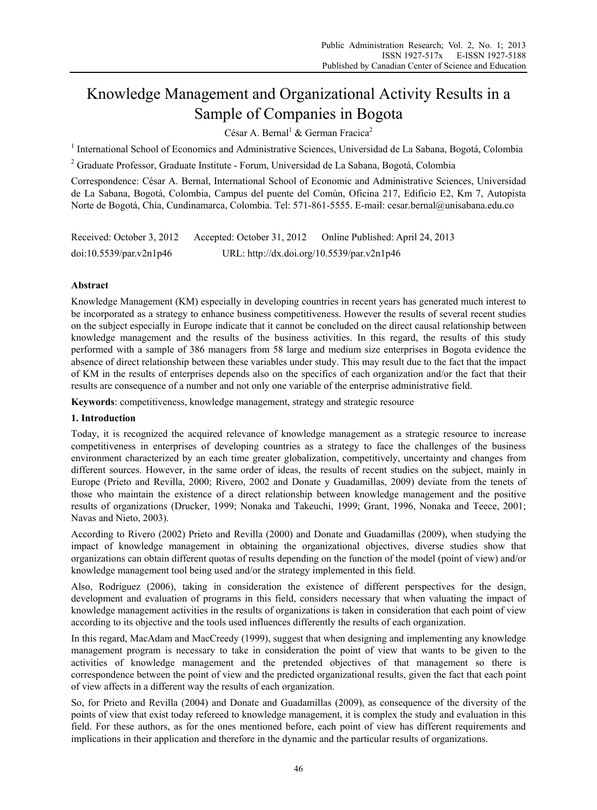# Knowledge Management and Organizational Activity Results in a Sample of Companies in Bogota

César A. Bernal<sup>1</sup> & German Fracica<sup>2</sup>

<sup>1</sup> International School of Economics and Administrative Sciences, Universidad de La Sabana, Bogotá, Colombia

<sup>2</sup> Graduate Professor, Graduate Institute - Forum, Universidad de La Sabana, Bogotá, Colombia

Correspondence: César A. Bernal, International School of Economic and Administrative Sciences, Universidad de La Sabana, Bogotá, Colombia, Campus del puente del Común, Oficina 217, Edificio E2, Km 7, Autopista Norte de Bogotá, Chía, Cundinamarca, Colombia. Tel: 571-861-5555. E-mail: cesar.bernal@unisabana.edu.co

| Received: October 3, 2012 | Accepted: October 31, 2012                 | Online Published: April 24, 2013 |
|---------------------------|--------------------------------------------|----------------------------------|
| doi:10.5539/par.v2n1p46   | URL: http://dx.doi.org/10.5539/par.v2n1p46 |                                  |

## **Abstract**

Knowledge Management (KM) especially in developing countries in recent years has generated much interest to be incorporated as a strategy to enhance business competitiveness. However the results of several recent studies on the subject especially in Europe indicate that it cannot be concluded on the direct causal relationship between knowledge management and the results of the business activities. In this regard, the results of this study performed with a sample of 386 managers from 58 large and medium size enterprises in Bogota evidence the absence of direct relationship between these variables under study. This may result due to the fact that the impact of KM in the results of enterprises depends also on the specifics of each organization and/or the fact that their results are consequence of a number and not only one variable of the enterprise administrative field.

**Keywords**: competitiveness, knowledge management, strategy and strategic resource

#### **1. Introduction**

Today, it is recognized the acquired relevance of knowledge management as a strategic resource to increase competitiveness in enterprises of developing countries as a strategy to face the challenges of the business environment characterized by an each time greater globalization, competitively, uncertainty and changes from different sources. However, in the same order of ideas, the results of recent studies on the subject, mainly in Europe (Prieto and Revilla, 2000; Rivero, 2002 and Donate y Guadamillas, 2009) deviate from the tenets of those who maintain the existence of a direct relationship between knowledge management and the positive results of organizations (Drucker, 1999; Nonaka and Takeuchi, 1999; Grant, 1996, Nonaka and Teece, 2001; Navas and Nieto, 2003).

According to Rivero (2002) Prieto and Revilla (2000) and Donate and Guadamillas (2009), when studying the impact of knowledge management in obtaining the organizational objectives, diverse studies show that organizations can obtain different quotas of results depending on the function of the model (point of view) and/or knowledge management tool being used and/or the strategy implemented in this field.

Also, Rodríguez (2006), taking in consideration the existence of different perspectives for the design, development and evaluation of programs in this field, considers necessary that when valuating the impact of knowledge management activities in the results of organizations is taken in consideration that each point of view according to its objective and the tools used influences differently the results of each organization.

In this regard, MacAdam and MacCreedy (1999), suggest that when designing and implementing any knowledge management program is necessary to take in consideration the point of view that wants to be given to the activities of knowledge management and the pretended objectives of that management so there is correspondence between the point of view and the predicted organizational results, given the fact that each point of view affects in a different way the results of each organization.

So, for Prieto and Revilla (2004) and Donate and Guadamillas (2009), as consequence of the diversity of the points of view that exist today refereed to knowledge management, it is complex the study and evaluation in this field. For these authors, as for the ones mentioned before, each point of view has different requirements and implications in their application and therefore in the dynamic and the particular results of organizations.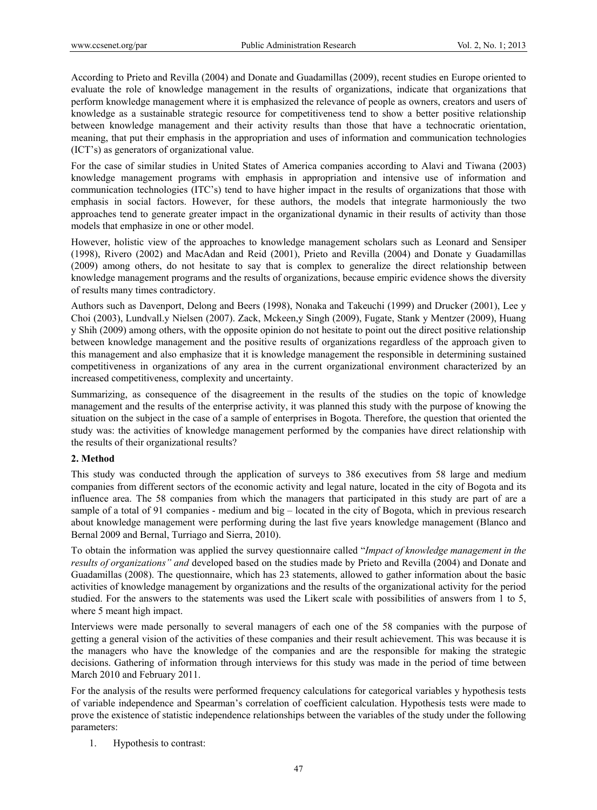According to Prieto and Revilla (2004) and Donate and Guadamillas (2009), recent studies en Europe oriented to evaluate the role of knowledge management in the results of organizations, indicate that organizations that perform knowledge management where it is emphasized the relevance of people as owners, creators and users of knowledge as a sustainable strategic resource for competitiveness tend to show a better positive relationship between knowledge management and their activity results than those that have a technocratic orientation, meaning, that put their emphasis in the appropriation and uses of information and communication technologies (ICT's) as generators of organizational value.

For the case of similar studies in United States of America companies according to Alavi and Tiwana (2003) knowledge management programs with emphasis in appropriation and intensive use of information and communication technologies (ITC's) tend to have higher impact in the results of organizations that those with emphasis in social factors. However, for these authors, the models that integrate harmoniously the two approaches tend to generate greater impact in the organizational dynamic in their results of activity than those models that emphasize in one or other model.

However, holistic view of the approaches to knowledge management scholars such as Leonard and Sensiper (1998), Rivero (2002) and MacAdan and Reid (2001), Prieto and Revilla (2004) and Donate y Guadamillas (2009) among others, do not hesitate to say that is complex to generalize the direct relationship between knowledge management programs and the results of organizations, because empiric evidence shows the diversity of results many times contradictory.

Authors such as Davenport, Delong and Beers (1998), Nonaka and Takeuchi (1999) and Drucker (2001), Lee y Choi (2003), Lundvall.y Nielsen (2007). Zack, Mckeen,y Singh (2009), Fugate, Stank y Mentzer (2009), Huang y Shih (2009) among others, with the opposite opinion do not hesitate to point out the direct positive relationship between knowledge management and the positive results of organizations regardless of the approach given to this management and also emphasize that it is knowledge management the responsible in determining sustained competitiveness in organizations of any area in the current organizational environment characterized by an increased competitiveness, complexity and uncertainty.

Summarizing, as consequence of the disagreement in the results of the studies on the topic of knowledge management and the results of the enterprise activity, it was planned this study with the purpose of knowing the situation on the subject in the case of a sample of enterprises in Bogota. Therefore, the question that oriented the study was: the activities of knowledge management performed by the companies have direct relationship with the results of their organizational results?

#### **2. Method**

This study was conducted through the application of surveys to 386 executives from 58 large and medium companies from different sectors of the economic activity and legal nature, located in the city of Bogota and its influence area. The 58 companies from which the managers that participated in this study are part of are a sample of a total of 91 companies - medium and big – located in the city of Bogota, which in previous research about knowledge management were performing during the last five years knowledge management (Blanco and Bernal 2009 and Bernal, Turriago and Sierra, 2010).

To obtain the information was applied the survey questionnaire called "*Impact of knowledge management in the results of organizations" and* developed based on the studies made by Prieto and Revilla (2004) and Donate and Guadamillas (2008). The questionnaire, which has 23 statements, allowed to gather information about the basic activities of knowledge management by organizations and the results of the organizational activity for the period studied. For the answers to the statements was used the Likert scale with possibilities of answers from 1 to 5, where 5 meant high impact.

Interviews were made personally to several managers of each one of the 58 companies with the purpose of getting a general vision of the activities of these companies and their result achievement. This was because it is the managers who have the knowledge of the companies and are the responsible for making the strategic decisions. Gathering of information through interviews for this study was made in the period of time between March 2010 and February 2011.

For the analysis of the results were performed frequency calculations for categorical variables y hypothesis tests of variable independence and Spearman's correlation of coefficient calculation. Hypothesis tests were made to prove the existence of statistic independence relationships between the variables of the study under the following parameters:

1. Hypothesis to contrast: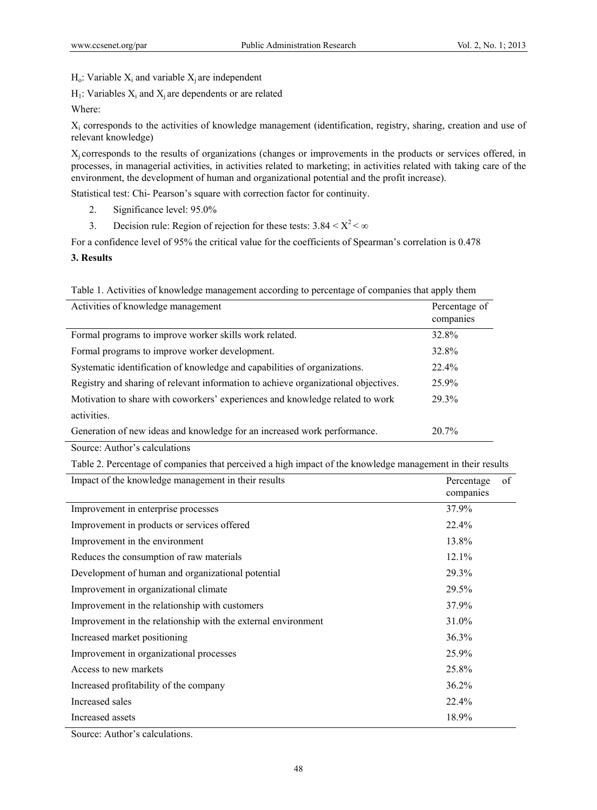$H_0$ : Variable  $X_i$  and variable  $X_i$  are independent

 $H_1$ : Variables  $X_i$  and  $X_i$  are dependents or are related

Where:

Xi corresponds to the activities of knowledge management (identification, registry, sharing, creation and use of relevant knowledge)

Xj corresponds to the results of organizations (changes or improvements in the products or services offered, in processes, in managerial activities, in activities related to marketing; in activities related with taking care of the environment, the development of human and organizational potential and the profit increase).

Statistical test: Chi- Pearson's square with correction factor for continuity.

- 2. Significance level: 95.0%
- 3. Decision rule: Region of rejection for these tests:  $3.84 \le X^2 \le \infty$

For a confidence level of 95% the critical value for the coefficients of Spearman's correlation is 0.478

**3. Results** 

|  |  |  | Table 1. Activities of knowledge management according to percentage of companies that apply them |
|--|--|--|--------------------------------------------------------------------------------------------------|
|  |  |  |                                                                                                  |

| Activities of knowledge management                                                 | Percentage of<br>companies |
|------------------------------------------------------------------------------------|----------------------------|
| Formal programs to improve worker skills work related.                             | 32.8%                      |
| Formal programs to improve worker development.                                     | 32.8%                      |
| Systematic identification of knowledge and capabilities of organizations.          | 22.4%                      |
| Registry and sharing of relevant information to achieve organizational objectives. | 25.9%                      |
| Motivation to share with coworkers' experiences and knowledge related to work      | 29.3%                      |
| activities.                                                                        |                            |
| Generation of new ideas and knowledge for an increased work performance.           | $20.7\%$                   |

Source: Author's calculations

Table 2. Percentage of companies that perceived a high impact of the knowledge management in their results

| Impact of the knowledge management in their results           | Percentage<br>companies | οf |
|---------------------------------------------------------------|-------------------------|----|
| Improvement in enterprise processes                           | 37.9%                   |    |
| Improvement in products or services offered                   | 22.4%                   |    |
| Improvement in the environment                                | 13.8%                   |    |
| Reduces the consumption of raw materials                      | $12.1\%$                |    |
| Development of human and organizational potential             | 29.3%                   |    |
| Improvement in organizational climate                         | 29.5%                   |    |
| Improvement in the relationship with customers                | 37.9%                   |    |
| Improvement in the relationship with the external environment | 31.0%                   |    |
| Increased market positioning                                  | 36.3%                   |    |
| Improvement in organizational processes                       | 25.9%                   |    |
| Access to new markets                                         | 25.8%                   |    |
| Increased profitability of the company                        | 36.2%                   |    |
| Increased sales                                               | 22.4%                   |    |
| Increased assets<br>.                                         | 18.9%                   |    |

Source: Author's calculations.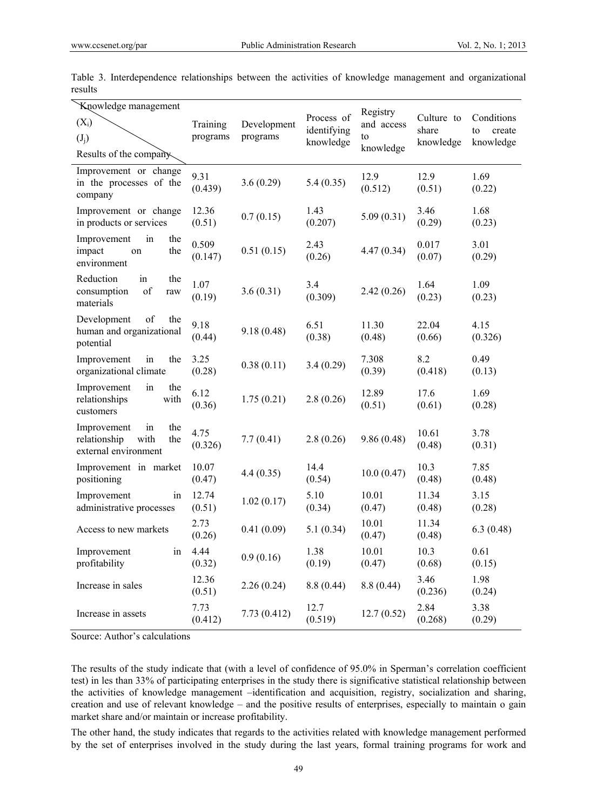| Knowledge management<br>$(X_i)$<br>$(J_i)$<br>Results of the company            | Training<br>programs | Development<br>programs | Process of<br>identifying<br>knowledge | Registry<br>and access<br>to<br>knowledge | Culture to<br>share<br>knowledge | Conditions<br>create<br>to<br>knowledge |
|---------------------------------------------------------------------------------|----------------------|-------------------------|----------------------------------------|-------------------------------------------|----------------------------------|-----------------------------------------|
| Improvement or change<br>in the processes of the<br>company                     | 9.31<br>(0.439)      | 3.6(0.29)               | 5.4(0.35)                              | 12.9<br>(0.512)                           | 12.9<br>(0.51)                   | 1.69<br>(0.22)                          |
| Improvement or change<br>in products or services                                | 12.36<br>(0.51)      | 0.7(0.15)               | 1.43<br>(0.207)                        | 5.09(0.31)                                | 3.46<br>(0.29)                   | 1.68<br>(0.23)                          |
| the<br>Improvement<br>in<br>the<br>impact<br>on<br>environment                  | 0.509<br>(0.147)     | 0.51(0.15)              | 2.43<br>(0.26)                         | 4.47(0.34)                                | 0.017<br>(0.07)                  | 3.01<br>(0.29)                          |
| Reduction<br>in<br>the<br>of<br>consumption<br>raw<br>materials                 | 1.07<br>(0.19)       | 3.6(0.31)               | 3.4<br>(0.309)                         | 2.42(0.26)                                | 1.64<br>(0.23)                   | 1.09<br>(0.23)                          |
| Development<br>of<br>the<br>human and organizational<br>potential               | 9.18<br>(0.44)       | 9.18(0.48)              | 6.51<br>(0.38)                         | 11.30<br>(0.48)                           | 22.04<br>(0.66)                  | 4.15<br>(0.326)                         |
| Improvement<br>in<br>the<br>organizational climate                              | 3.25<br>(0.28)       | 0.38(0.11)              | 3.4(0.29)                              | 7.308<br>(0.39)                           | 8.2<br>(0.418)                   | 0.49<br>(0.13)                          |
| Improvement<br>in<br>the<br>relationships<br>with<br>customers                  | 6.12<br>(0.36)       | 1.75(0.21)              | 2.8(0.26)                              | 12.89<br>(0.51)                           | 17.6<br>(0.61)                   | 1.69<br>(0.28)                          |
| Improvement<br>in<br>the<br>relationship<br>with<br>the<br>external environment | 4.75<br>(0.326)      | 7.7(0.41)               | 2.8(0.26)                              | 9.86(0.48)                                | 10.61<br>(0.48)                  | 3.78<br>(0.31)                          |
| Improvement in market<br>positioning                                            | 10.07<br>(0.47)      | 4.4(0.35)               | 14.4<br>(0.54)                         | 10.0(0.47)                                | 10.3<br>(0.48)                   | 7.85<br>(0.48)                          |
| Improvement<br>in<br>administrative processes                                   | 12.74<br>(0.51)      | 1.02(0.17)              | 5.10<br>(0.34)                         | 10.01<br>(0.47)                           | 11.34<br>(0.48)                  | 3.15<br>(0.28)                          |
| Access to new markets                                                           | 2.73<br>(0.26)       | 0.41(0.09)              | 5.1(0.34)                              | 10.01<br>(0.47)                           | 11.34<br>(0.48)                  | 6.3(0.48)                               |
| Improvement<br>1n<br>profitability                                              | 4.44<br>(0.32)       | 0.9(0.16)               | 1.38<br>(0.19)                         | 10.01<br>(0.47)                           | 10.3<br>(0.68)                   | 0.61<br>(0.15)                          |
| Increase in sales                                                               | 12.36<br>(0.51)      | 2.26(0.24)              | 8.8(0.44)                              | 8.8(0.44)                                 | 3.46<br>(0.236)                  | 1.98<br>(0.24)                          |
| Increase in assets                                                              | 7.73<br>(0.412)      | 7.73(0.412)             | 12.7<br>(0.519)                        | 12.7(0.52)                                | 2.84<br>(0.268)                  | 3.38<br>(0.29)                          |

Table 3. Interdependence relationships between the activities of knowledge management and organizational results

Source: Author's calculations

The results of the study indicate that (with a level of confidence of 95.0% in Sperman's correlation coefficient test) in les than 33% of participating enterprises in the study there is significative statistical relationship between the activities of knowledge management –identification and acquisition, registry, socialization and sharing, creation and use of relevant knowledge – and the positive results of enterprises, especially to maintain o gain market share and/or maintain or increase profitability.

The other hand, the study indicates that regards to the activities related with knowledge management performed by the set of enterprises involved in the study during the last years, formal training programs for work and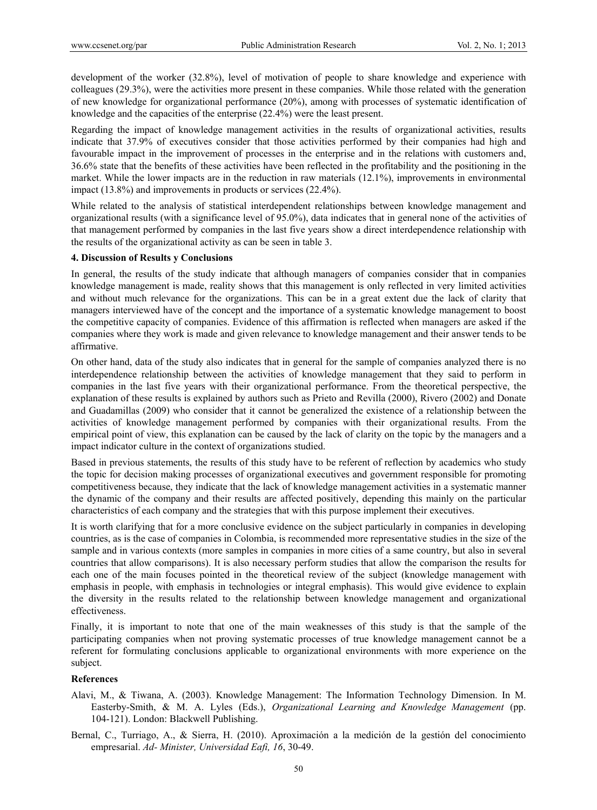development of the worker (32.8%), level of motivation of people to share knowledge and experience with colleagues (29.3%), were the activities more present in these companies. While those related with the generation of new knowledge for organizational performance (20%), among with processes of systematic identification of knowledge and the capacities of the enterprise (22.4%) were the least present.

Regarding the impact of knowledge management activities in the results of organizational activities, results indicate that 37.9% of executives consider that those activities performed by their companies had high and favourable impact in the improvement of processes in the enterprise and in the relations with customers and, 36.6% state that the benefits of these activities have been reflected in the profitability and the positioning in the market. While the lower impacts are in the reduction in raw materials (12.1%), improvements in environmental impact (13.8%) and improvements in products or services (22.4%).

While related to the analysis of statistical interdependent relationships between knowledge management and organizational results (with a significance level of 95.0%), data indicates that in general none of the activities of that management performed by companies in the last five years show a direct interdependence relationship with the results of the organizational activity as can be seen in table 3.

### **4. Discussion of Results y Conclusions**

In general, the results of the study indicate that although managers of companies consider that in companies knowledge management is made, reality shows that this management is only reflected in very limited activities and without much relevance for the organizations. This can be in a great extent due the lack of clarity that managers interviewed have of the concept and the importance of a systematic knowledge management to boost the competitive capacity of companies. Evidence of this affirmation is reflected when managers are asked if the companies where they work is made and given relevance to knowledge management and their answer tends to be affirmative.

On other hand, data of the study also indicates that in general for the sample of companies analyzed there is no interdependence relationship between the activities of knowledge management that they said to perform in companies in the last five years with their organizational performance. From the theoretical perspective, the explanation of these results is explained by authors such as Prieto and Revilla (2000), Rivero (2002) and Donate and Guadamillas (2009) who consider that it cannot be generalized the existence of a relationship between the activities of knowledge management performed by companies with their organizational results. From the empirical point of view, this explanation can be caused by the lack of clarity on the topic by the managers and a impact indicator culture in the context of organizations studied.

Based in previous statements, the results of this study have to be referent of reflection by academics who study the topic for decision making processes of organizational executives and government responsible for promoting competitiveness because, they indicate that the lack of knowledge management activities in a systematic manner the dynamic of the company and their results are affected positively, depending this mainly on the particular characteristics of each company and the strategies that with this purpose implement their executives.

It is worth clarifying that for a more conclusive evidence on the subject particularly in companies in developing countries, as is the case of companies in Colombia, is recommended more representative studies in the size of the sample and in various contexts (more samples in companies in more cities of a same country, but also in several countries that allow comparisons). It is also necessary perform studies that allow the comparison the results for each one of the main focuses pointed in the theoretical review of the subject (knowledge management with emphasis in people, with emphasis in technologies or integral emphasis). This would give evidence to explain the diversity in the results related to the relationship between knowledge management and organizational effectiveness.

Finally, it is important to note that one of the main weaknesses of this study is that the sample of the participating companies when not proving systematic processes of true knowledge management cannot be a referent for formulating conclusions applicable to organizational environments with more experience on the subject.

## **References**

- Alavi, M., & Tiwana, A. (2003). Knowledge Management: The Information Technology Dimension. In M. Easterby-Smith, & M. A. Lyles (Eds.), *Organizational Learning and Knowledge Management* (pp. 104-121). London: Blackwell Publishing.
- Bernal, C., Turriago, A., & Sierra, H. (2010). Aproximación a la medición de la gestión del conocimiento empresarial. *Ad- Minister, Universidad Eafi, 16*, 30-49.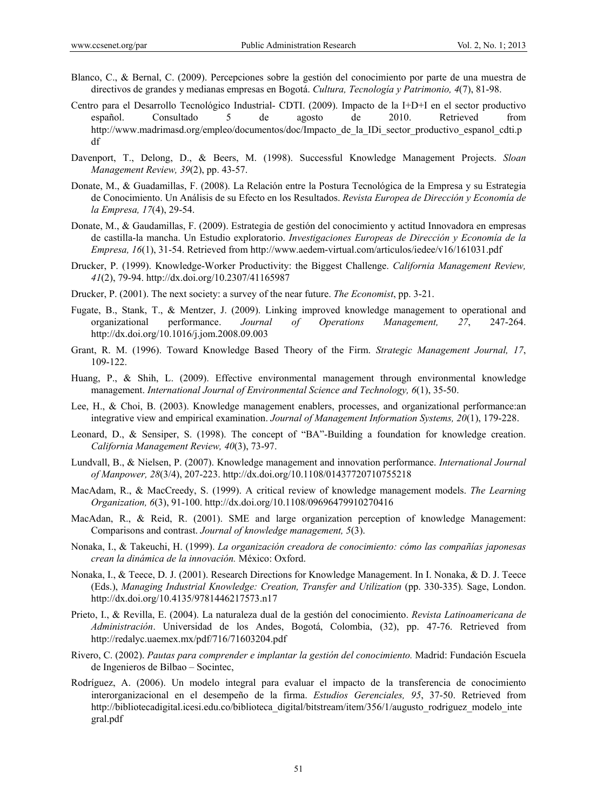- Blanco, C., & Bernal, C. (2009). Percepciones sobre la gestión del conocimiento por parte de una muestra de directivos de grandes y medianas empresas en Bogotá. *Cultura, Tecnología y Patrimonio, 4*(7), 81-98.
- Centro para el Desarrollo Tecnológico Industrial- CDTI. (2009). Impacto de la I+D+I en el sector productivo español. Consultado 5 de agosto de 2010. Retrieved from http://www.madrimasd.org/empleo/documentos/doc/Impacto\_de\_la\_IDi\_sector\_productivo\_espanol\_cdti.p df
- Davenport, T., Delong, D., & Beers, M. (1998). Successful Knowledge Management Projects. *Sloan Management Review, 39*(2), pp. 43-57.
- Donate, M., & Guadamillas, F. (2008). La Relación entre la Postura Tecnológica de la Empresa y su Estrategia de Conocimiento. Un Análisis de su Efecto en los Resultados. *Revista Europea de Dirección y Economía de la Empresa, 17*(4), 29-54.
- Donate, M., & Gaudamillas, F. (2009). Estrategia de gestión del conocimiento y actitud Innovadora en empresas de castilla-la mancha. Un Estudio exploratorio. *Investigaciones Europeas de Dirección y Economía de la Empresa, 16*(1), 31-54. Retrieved from http://www.aedem-virtual.com/articulos/iedee/v16/161031.pdf
- Drucker, P. (1999). Knowledge-Worker Productivity: the Biggest Challenge. *California Management Review, 41*(2), 79-94. http://dx.doi.org/10.2307/41165987
- Drucker, P. (2001). The next society: a survey of the near future. *The Economist*, pp. 3-21.
- Fugate, B., Stank, T., & Mentzer, J. (2009). Linking improved knowledge management to operational and organizational performance. *Journal of Operations Management, 27*, 247-264. http://dx.doi.org/10.1016/j.jom.2008.09.003
- Grant, R. M. (1996). Toward Knowledge Based Theory of the Firm. *Strategic Management Journal, 17*, 109-122.
- Huang, P., & Shih, L. (2009). Effective environmental management through environmental knowledge management. *International Journal of Environmental Science and Technology, 6*(1), 35-50.
- Lee, H., & Choi, B. (2003). Knowledge management enablers, processes, and organizational performance:an integrative view and empirical examination. *Journal of Management Information Systems, 20*(1), 179-228.
- Leonard, D., & Sensiper, S. (1998). The concept of "BA"-Building a foundation for knowledge creation. *California Management Review, 40*(3), 73-97.
- Lundvall, B., & Nielsen, P. (2007). Knowledge management and innovation performance. *International Journal of Manpower, 28*(3/4), 207-223. http://dx.doi.org/10.1108/01437720710755218
- MacAdam, R., & MacCreedy, S. (1999). A critical review of knowledge management models. *The Learning Organization, 6*(3), 91-100. http://dx.doi.org/10.1108/09696479910270416
- MacAdan, R., & Reid, R. (2001). SME and large organization perception of knowledge Management: Comparisons and contrast. *Journal of knowledge management, 5*(3).
- Nonaka, I., & Takeuchi, H. (1999). *La organización creadora de conocimiento: cómo las compañías japonesas crean la dinámica de la innovación.* México: Oxford.
- Nonaka, I., & Teece, D. J. (2001). Research Directions for Knowledge Management. In I. Nonaka, & D. J. Teece (Eds.), *Managing Industrial Knowledge: Creation, Transfer and Utilization* (pp. 330-335)*.* Sage, London. http://dx.doi.org/10.4135/9781446217573.n17
- Prieto, I., & Revilla, E. (2004). La naturaleza dual de la gestión del conocimiento. *Revista Latinoamericana de Administración*. Universidad de los Andes, Bogotá, Colombia, (32), pp. 47-76. Retrieved from http://redalyc.uaemex.mx/pdf/716/71603204.pdf
- Rivero, C. (2002). *Pautas para comprender e implantar la gestión del conocimiento.* Madrid: Fundación Escuela de Ingenieros de Bilbao – Socintec,
- Rodríguez, A. (2006). Un modelo integral para evaluar el impacto de la transferencia de conocimiento interorganizacional en el desempeño de la firma. *Estudios Gerenciales, 95*, 37-50. Retrieved from http://bibliotecadigital.icesi.edu.co/biblioteca\_digital/bitstream/item/356/1/augusto\_rodriguez\_modelo\_inte gral.pdf